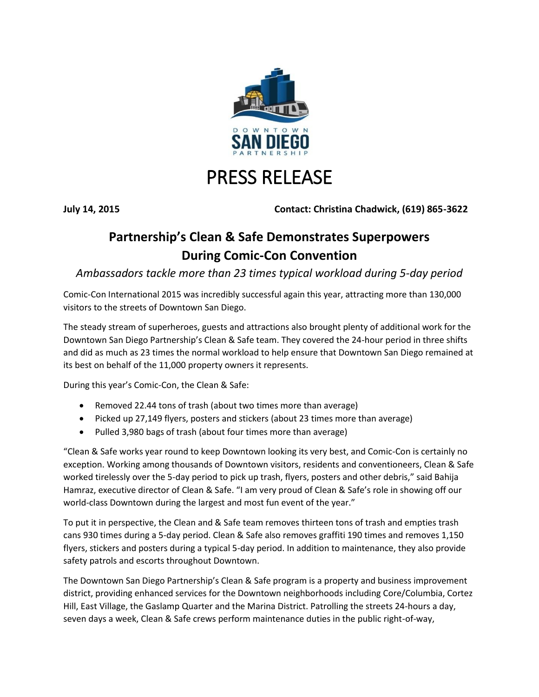

## PRESS RELEASE

**July 14, 2015 Contact: Christina Chadwick, (619) 865-3622**

## **Partnership's Clean & Safe Demonstrates Superpowers During Comic-Con Convention**

*Ambassadors tackle more than 23 times typical workload during 5-day period*

Comic-Con International 2015 was incredibly successful again this year, attracting more than 130,000 visitors to the streets of Downtown San Diego.

The steady stream of superheroes, guests and attractions also brought plenty of additional work for the Downtown San Diego Partnership's Clean & Safe team. They covered the 24-hour period in three shifts and did as much as 23 times the normal workload to help ensure that Downtown San Diego remained at its best on behalf of the 11,000 property owners it represents.

During this year's Comic-Con, the Clean & Safe:

- Removed 22.44 tons of trash (about two times more than average)
- Picked up 27,149 flyers, posters and stickers (about 23 times more than average)
- Pulled 3,980 bags of trash (about four times more than average)

"Clean & Safe works year round to keep Downtown looking its very best, and Comic-Con is certainly no exception. Working among thousands of Downtown visitors, residents and conventioneers, Clean & Safe worked tirelessly over the 5-day period to pick up trash, flyers, posters and other debris," said Bahija Hamraz, executive director of Clean & Safe. "I am very proud of Clean & Safe's role in showing off our world-class Downtown during the largest and most fun event of the year."

To put it in perspective, the Clean and & Safe team removes thirteen tons of trash and empties trash cans 930 times during a 5-day period. Clean & Safe also removes graffiti 190 times and removes 1,150 flyers, stickers and posters during a typical 5-day period. In addition to maintenance, they also provide safety patrols and escorts throughout Downtown.

The Downtown San Diego Partnership's Clean & Safe program is a property and business improvement district, providing enhanced services for the Downtown neighborhoods including Core/Columbia, Cortez Hill, East Village, the Gaslamp Quarter and the Marina District. Patrolling the streets 24-hours a day, seven days a week, Clean & Safe crews perform maintenance duties in the public right-of-way,